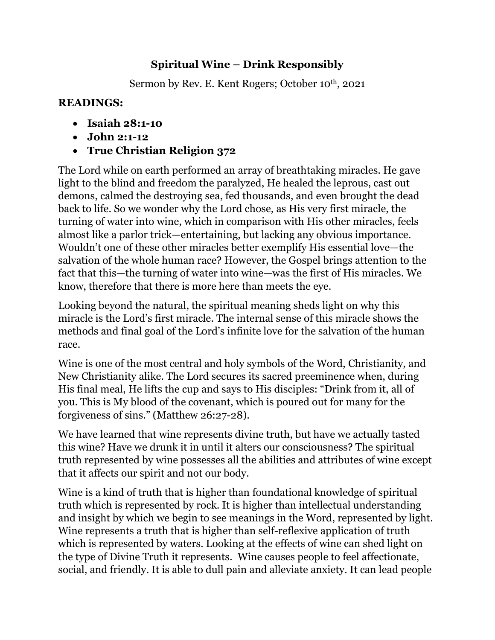## **Spiritual Wine – Drink Responsibly**

Sermon by Rev. E. Kent Rogers; October 10th, 2021

## **READINGS:**

- **Isaiah 28:1-10**
- **John 2:1-12**
- **True Christian Religion 372**

The Lord while on earth performed an array of breathtaking miracles. He gave light to the blind and freedom the paralyzed, He healed the leprous, cast out demons, calmed the destroying sea, fed thousands, and even brought the dead back to life. So we wonder why the Lord chose, as His very first miracle, the turning of water into wine, which in comparison with His other miracles, feels almost like a parlor trick—entertaining, but lacking any obvious importance. Wouldn't one of these other miracles better exemplify His essential love—the salvation of the whole human race? However, the Gospel brings attention to the fact that this—the turning of water into wine—was the first of His miracles. We know, therefore that there is more here than meets the eye.

Looking beyond the natural, the spiritual meaning sheds light on why this miracle is the Lord's first miracle. The internal sense of this miracle shows the methods and final goal of the Lord's infinite love for the salvation of the human race.

Wine is one of the most central and holy symbols of the Word, Christianity, and New Christianity alike. The Lord secures its sacred preeminence when, during His final meal, He lifts the cup and says to His disciples: "Drink from it, all of you. This is My blood of the covenant, which is poured out for many for the forgiveness of sins." (Matthew 26:27-28).

We have learned that wine represents divine truth, but have we actually tasted this wine? Have we drunk it in until it alters our consciousness? The spiritual truth represented by wine possesses all the abilities and attributes of wine except that it affects our spirit and not our body.

Wine is a kind of truth that is higher than foundational knowledge of spiritual truth which is represented by rock. It is higher than intellectual understanding and insight by which we begin to see meanings in the Word, represented by light. Wine represents a truth that is higher than self-reflexive application of truth which is represented by waters. Looking at the effects of wine can shed light on the type of Divine Truth it represents. Wine causes people to feel affectionate, social, and friendly. It is able to dull pain and alleviate anxiety. It can lead people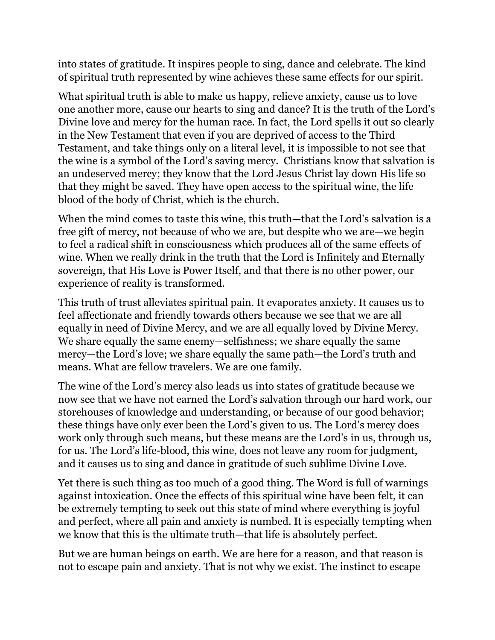into states of gratitude. It inspires people to sing, dance and celebrate. The kind of spiritual truth represented by wine achieves these same effects for our spirit.

What spiritual truth is able to make us happy, relieve anxiety, cause us to love one another more, cause our hearts to sing and dance? It is the truth of the Lord's Divine love and mercy for the human race. In fact, the Lord spells it out so clearly in the New Testament that even if you are deprived of access to the Third Testament, and take things only on a literal level, it is impossible to not see that the wine is a symbol of the Lord's saving mercy. Christians know that salvation is an undeserved mercy; they know that the Lord Jesus Christ lay down His life so that they might be saved. They have open access to the spiritual wine, the life blood of the body of Christ, which is the church.

When the mind comes to taste this wine, this truth—that the Lord's salvation is a free gift of mercy, not because of who we are, but despite who we are—we begin to feel a radical shift in consciousness which produces all of the same effects of wine. When we really drink in the truth that the Lord is Infinitely and Eternally sovereign, that His Love is Power Itself, and that there is no other power, our experience of reality is transformed.

This truth of trust alleviates spiritual pain. It evaporates anxiety. It causes us to feel affectionate and friendly towards others because we see that we are all equally in need of Divine Mercy, and we are all equally loved by Divine Mercy. We share equally the same enemy—selfishness; we share equally the same mercy—the Lord's love; we share equally the same path—the Lord's truth and means. What are fellow travelers. We are one family.

The wine of the Lord's mercy also leads us into states of gratitude because we now see that we have not earned the Lord's salvation through our hard work, our storehouses of knowledge and understanding, or because of our good behavior; these things have only ever been the Lord's given to us. The Lord's mercy does work only through such means, but these means are the Lord's in us, through us, for us. The Lord's life-blood, this wine, does not leave any room for judgment, and it causes us to sing and dance in gratitude of such sublime Divine Love.

Yet there is such thing as too much of a good thing. The Word is full of warnings against intoxication. Once the effects of this spiritual wine have been felt, it can be extremely tempting to seek out this state of mind where everything is joyful and perfect, where all pain and anxiety is numbed. It is especially tempting when we know that this is the ultimate truth—that life is absolutely perfect.

But we are human beings on earth. We are here for a reason, and that reason is not to escape pain and anxiety. That is not why we exist. The instinct to escape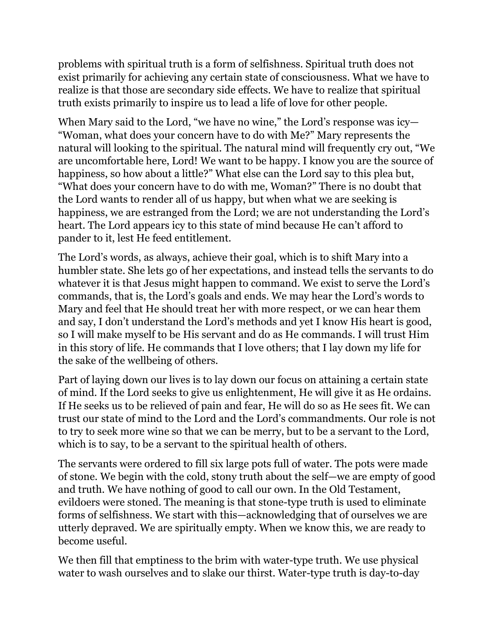problems with spiritual truth is a form of selfishness. Spiritual truth does not exist primarily for achieving any certain state of consciousness. What we have to realize is that those are secondary side effects. We have to realize that spiritual truth exists primarily to inspire us to lead a life of love for other people.

When Mary said to the Lord, "we have no wine," the Lord's response was icy-"Woman, what does your concern have to do with Me?" Mary represents the natural will looking to the spiritual. The natural mind will frequently cry out, "We are uncomfortable here, Lord! We want to be happy. I know you are the source of happiness, so how about a little?" What else can the Lord say to this plea but, "What does your concern have to do with me, Woman?" There is no doubt that the Lord wants to render all of us happy, but when what we are seeking is happiness, we are estranged from the Lord; we are not understanding the Lord's heart. The Lord appears icy to this state of mind because He can't afford to pander to it, lest He feed entitlement.

The Lord's words, as always, achieve their goal, which is to shift Mary into a humbler state. She lets go of her expectations, and instead tells the servants to do whatever it is that Jesus might happen to command. We exist to serve the Lord's commands, that is, the Lord's goals and ends. We may hear the Lord's words to Mary and feel that He should treat her with more respect, or we can hear them and say, I don't understand the Lord's methods and yet I know His heart is good, so I will make myself to be His servant and do as He commands. I will trust Him in this story of life. He commands that I love others; that I lay down my life for the sake of the wellbeing of others.

Part of laying down our lives is to lay down our focus on attaining a certain state of mind. If the Lord seeks to give us enlightenment, He will give it as He ordains. If He seeks us to be relieved of pain and fear, He will do so as He sees fit. We can trust our state of mind to the Lord and the Lord's commandments. Our role is not to try to seek more wine so that we can be merry, but to be a servant to the Lord, which is to say, to be a servant to the spiritual health of others.

The servants were ordered to fill six large pots full of water. The pots were made of stone. We begin with the cold, stony truth about the self—we are empty of good and truth. We have nothing of good to call our own. In the Old Testament, evildoers were stoned. The meaning is that stone-type truth is used to eliminate forms of selfishness. We start with this—acknowledging that of ourselves we are utterly depraved. We are spiritually empty. When we know this, we are ready to become useful.

We then fill that emptiness to the brim with water-type truth. We use physical water to wash ourselves and to slake our thirst. Water-type truth is day-to-day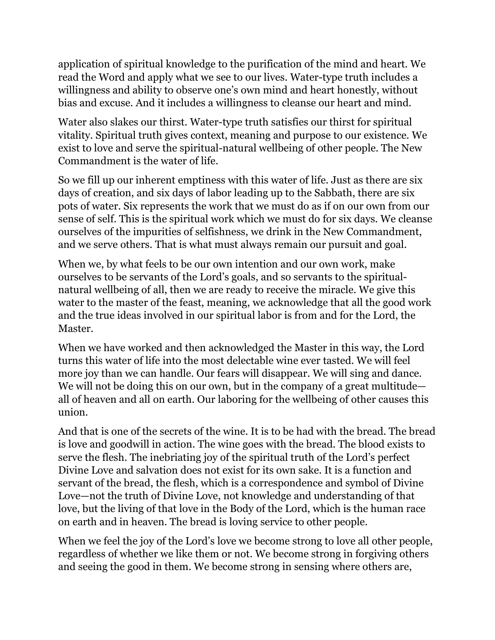application of spiritual knowledge to the purification of the mind and heart. We read the Word and apply what we see to our lives. Water-type truth includes a willingness and ability to observe one's own mind and heart honestly, without bias and excuse. And it includes a willingness to cleanse our heart and mind.

Water also slakes our thirst. Water-type truth satisfies our thirst for spiritual vitality. Spiritual truth gives context, meaning and purpose to our existence. We exist to love and serve the spiritual-natural wellbeing of other people. The New Commandment is the water of life.

So we fill up our inherent emptiness with this water of life. Just as there are six days of creation, and six days of labor leading up to the Sabbath, there are six pots of water. Six represents the work that we must do as if on our own from our sense of self. This is the spiritual work which we must do for six days. We cleanse ourselves of the impurities of selfishness, we drink in the New Commandment, and we serve others. That is what must always remain our pursuit and goal.

When we, by what feels to be our own intention and our own work, make ourselves to be servants of the Lord's goals, and so servants to the spiritualnatural wellbeing of all, then we are ready to receive the miracle. We give this water to the master of the feast, meaning, we acknowledge that all the good work and the true ideas involved in our spiritual labor is from and for the Lord, the Master.

When we have worked and then acknowledged the Master in this way, the Lord turns this water of life into the most delectable wine ever tasted. We will feel more joy than we can handle. Our fears will disappear. We will sing and dance. We will not be doing this on our own, but in the company of a great multitude all of heaven and all on earth. Our laboring for the wellbeing of other causes this union.

And that is one of the secrets of the wine. It is to be had with the bread. The bread is love and goodwill in action. The wine goes with the bread. The blood exists to serve the flesh. The inebriating joy of the spiritual truth of the Lord's perfect Divine Love and salvation does not exist for its own sake. It is a function and servant of the bread, the flesh, which is a correspondence and symbol of Divine Love—not the truth of Divine Love, not knowledge and understanding of that love, but the living of that love in the Body of the Lord, which is the human race on earth and in heaven. The bread is loving service to other people.

When we feel the joy of the Lord's love we become strong to love all other people, regardless of whether we like them or not. We become strong in forgiving others and seeing the good in them. We become strong in sensing where others are,